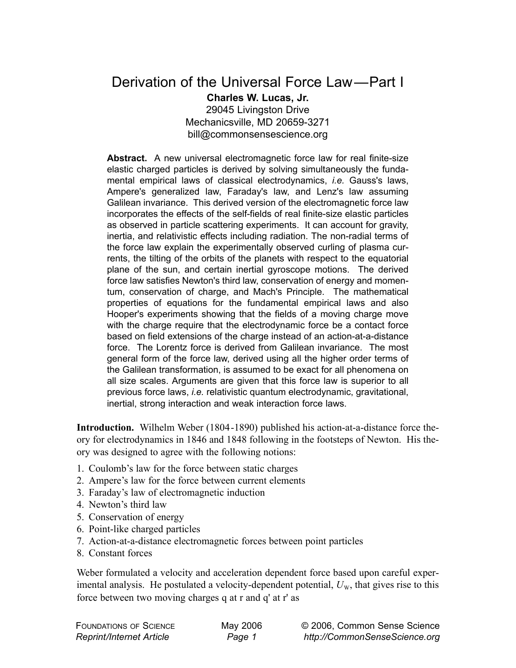## Derivation of the Universal Force Law—Part I **Charles W. Lucas, Jr.** 29045 Livingston Drive

Mechanicsville, MD 20659-3271 bill@commonsensescience.org

**Abstract.** A new universal electromagnetic force law for real finite-size elastic charged particles is derived by solving simultaneously the fundamental empirical laws of classical electrodynamics, *i.e.* Gauss's laws, Ampere's generalized law, Faraday's law, and Lenz's law assuming Galilean invariance. This derived version of the electromagnetic force law incorporates the effects of the self-fields of real finite-size elastic particles as observed in particle scattering experiments. It can account for gravity, inertia, and relativistic effects including radiation. The non-radial terms of the force law explain the experimentally observed curling of plasma currents, the tilting of the orbits of the planets with respect to the equatorial plane of the sun, and certain inertial gyroscope motions. The derived force law satisfies Newton's third law, conservation of energy and momentum, conservation of charge, and Mach's Principle. The mathematical properties of equations for the fundamental empirical laws and also Hooper's experiments showing that the fields of a moving charge move with the charge require that the electrodynamic force be a contact force based on field extensions of the charge instead of an action-at-a-distance force. The Lorentz force is derived from Galilean invariance. The most general form of the force law, derived using all the higher order terms of the Galilean transformation, is assumed to be exact for all phenomena on all size scales. Arguments are given that this force law is superior to all previous force laws, *i.e.* relativistic quantum electrodynamic, gravitational, inertial, strong interaction and weak interaction force laws.

**Introduction.** Wilhelm Weber (1804-1890) published his action-at-a-distance force theory for electrodynamics in 1846 and 1848 following in the footsteps of Newton. His theory was designed to agree with the following notions:

- 1. Coulomb's law for the force between static charges
- 2. Ampere's law for the force between current elements
- 3. Faraday's law of electromagnetic induction
- 4. Newton's third law
- 5. Conservation of energy
- 6. Point-like charged particles
- 7. Action-at-a-distance electromagnetic forces between point particles
- 8. Constant forces

Weber formulated a velocity and acceleration dependent force based upon careful experimental analysis. He postulated a velocity-dependent potential,  $U_w$ , that gives rise to this force between two moving charges q at r and q' at r' as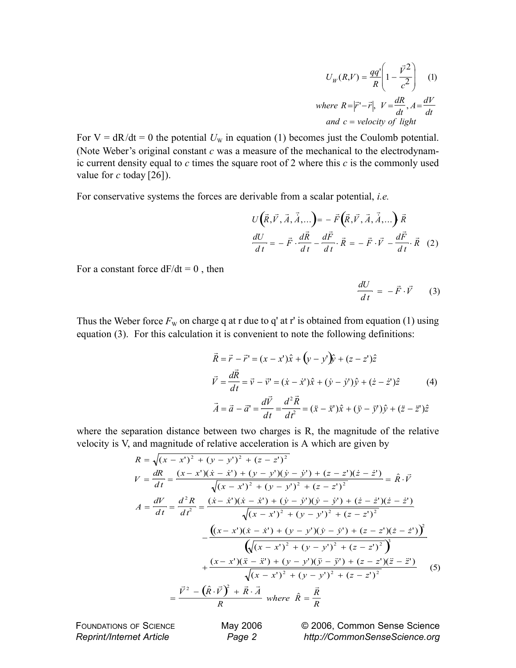$$
U_W(R,V) = \frac{qq'}{R} \left(1 - \frac{\vec{V}^2}{c^2}\right)
$$
 (1)  
where  $R = |\vec{r}' - \vec{r}|$ ,  $V = \frac{dR}{dt}$ ,  $A = \frac{dV}{dt}$   
and  $c = \text{velocity of light}$ 

For  $V = dR/dt = 0$  the potential  $U_w$  in equation (1) becomes just the Coulomb potential. (Note Weber's original constant *c* was a measure of the mechanical to the electrodynamic current density equal to *c* times the square root of 2 where this *c* is the commonly used value for *c* today [26]).

For conservative systems the forces are derivable from a scalar potential, *i.e.*

$$
U(\vec{R}, \vec{V}, \vec{A}, \vec{\dot{A}}, \dots) = -\vec{F}(\vec{R}, \vec{V}, \vec{A}, \vec{\dot{A}}, \dots) \vec{R}
$$
  

$$
\frac{dU}{dt} = -\vec{F} \cdot \frac{d\vec{R}}{dt} - \frac{d\vec{F}}{dt} \cdot \vec{R} = -\vec{F} \cdot \vec{V} - \frac{d\vec{F}}{dt} \cdot \vec{R}
$$
 (2)

For a constant force  $dF/dt = 0$ , then

$$
\frac{dU}{dt} = -\vec{F} \cdot \vec{V} \qquad (3)
$$

Thus the Weber force  $F_{\rm W}$  on charge q at r due to q' at r' is obtained from equation (1) using equation (3). For this calculation it is convenient to note the following definitions:

$$
\vec{R} = \vec{r} - \vec{r}' = (x - x')\hat{x} + (y - y')\hat{y} + (z - z')\hat{z}
$$
\n
$$
\vec{V} = \frac{d\vec{R}}{dt} = \vec{v} - \vec{v}' = (\dot{x} - \dot{x}')\hat{x} + (\dot{y} - \dot{y}')\hat{y} + (\dot{z} - \dot{z}')\hat{z}
$$
\n
$$
\vec{A} = \vec{a} - \vec{a}' = \frac{d\vec{V}}{dt} = \frac{d^2\vec{R}}{dt^2} = (\ddot{x} - \ddot{x}')\hat{x} + (\ddot{y} - \ddot{y}')\hat{y} + (\ddot{z} - \ddot{z}')\hat{z}
$$

where the separation distance between two charges is R, the magnitude of the relative velocity is V, and magnitude of relative acceleration is A which are given by

$$
R = \sqrt{(x - x')^2 + (y - y')^2 + (z - z')^2}
$$
  
\n
$$
V = \frac{dR}{dt} = \frac{(x - x')(x - \dot{x}') + (y - y')(\dot{y} - \dot{y}') + (z - z')(\dot{z} - \dot{z}')}{\sqrt{(x - x')^2 + (y - y')^2 + (z - z')^2}} = \hat{R} \cdot \vec{V}
$$
  
\n
$$
A = \frac{dV}{dt} = \frac{d^2R}{dt^2} = \frac{(\dot{x} - \dot{x}')(\dot{x} - \dot{x}') + (\dot{y} - \dot{y}')(\dot{y} - \dot{y}') + (\dot{z} - \dot{z}')(\dot{z} - \dot{z}')}{\sqrt{(x - x')^2 + (y - y')^2 + (z - z')^2}}
$$
  
\n
$$
- \frac{((x - x')(\dot{x} - \dot{x}') + (y - y')(\dot{y} - \dot{y}') + (z - z')(\dot{z} - \dot{z}')^2)}{(\sqrt{(x - x')^2 + (y - y')^2 + (z - z')^2})^3}
$$
  
\n
$$
+ \frac{(x - x')(\ddot{x} - \ddot{x}') + (y - y')(\ddot{y} - \ddot{y}') + (z - z')(\ddot{z} - \ddot{z}')}{\sqrt{(x - x')^2 + (y - y')^2 + (z - z')^2}}
$$
(5)  
\n
$$
= \frac{\vec{V}^2 - (\hat{R} \cdot \vec{V})^2 + \vec{R} \cdot \vec{A}}{R} \text{ where } \hat{R} = \frac{\vec{R}}{R}
$$

FOUNDATIONS OF SCIENCE *Reprint/Internet Article*

May 2006 *Page 2*

© 2006, Common Sense Science *http://CommonSenseScience.org*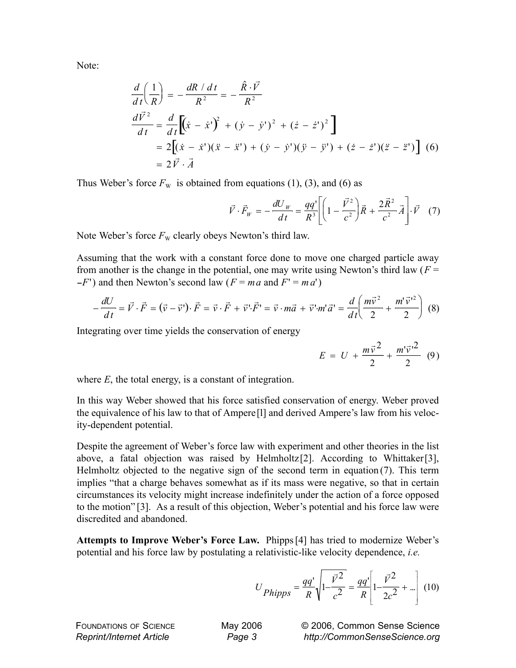Note:

$$
\frac{d}{dt}\left(\frac{1}{R}\right) = -\frac{dR/dt}{R^2} = -\frac{\hat{R}\cdot\vec{V}}{R^2}
$$
\n
$$
\frac{d\vec{V}^2}{dt} = \frac{d}{dt}\left[(\dot{x} - \dot{x}^{\prime})^2 + (\dot{y} - \dot{y}^{\prime})^2 + (\dot{z} - \dot{z}^{\prime})^2\right]
$$
\n
$$
= 2\left[(\dot{x} - \dot{x}^{\prime})(\ddot{x} - \ddot{x}^{\prime}) + (\dot{y} - \dot{y}^{\prime})(\ddot{y} - \ddot{y}^{\prime}) + (\dot{z} - \dot{z}^{\prime})(\ddot{z} - \ddot{z}^{\prime})\right]
$$
\n
$$
= 2\vec{V}\cdot\vec{A}
$$
\n(6)

Thus Weber's force  $F_w$  is obtained from equations (1), (3), and (6) as

$$
\vec{V} \cdot \vec{F}_W = -\frac{dU_W}{dt} = \frac{qq'}{R^3} \left[ \left( 1 - \frac{\vec{V}^2}{c^2} \right) \vec{R} + \frac{2\vec{R}^2}{c^2} \vec{A} \right] \cdot \vec{V} \quad (7)
$$

Note Weber's force  $F_{\rm W}$  clearly obeys Newton's third law.

Assuming that the work with a constant force done to move one charged particle away from another is the change in the potential, one may write using Newton's third law  $(F =$  $-F'$ ) and then Newton's second law ( $F = ma$  and  $F' = ma'$ )

$$
-\frac{dU}{dt} = \vec{V} \cdot \vec{F} = (\vec{v} - \vec{v}) \cdot \vec{F} = \vec{v} \cdot \vec{F} + \vec{v} \cdot \vec{F} = \vec{v} \cdot m\vec{a} + \vec{v} \cdot m'\vec{a} = \frac{d}{dt} \left(\frac{m\vec{v}^2}{2} + \frac{m'\vec{v}^2}{2}\right)
$$
(8)

Integrating over time yields the conservation of energy

$$
E = U + \frac{m\vec{v}^2}{2} + \frac{m'\vec{v}'^2}{2} (9)
$$

where *E*, the total energy, is a constant of integration.

In this way Weber showed that his force satisfied conservation of energy. Weber proved the equivalence of his law to that of Ampere[l] and derived Ampere's law from his velocity-dependent potential.

Despite the agreement of Weber's force law with experiment and other theories in the list above, a fatal objection was raised by Helmholtz[2]. According to Whittaker[3], Helmholtz objected to the negative sign of the second term in equation  $(7)$ . This term implies "that a charge behaves somewhat as if its mass were negative, so that in certain circumstances its velocity might increase indefinitely under the action of a force opposed to the motion" [3]. As a result of this objection, Weber's potential and his force law were discredited and abandoned.

**Attempts to Improve Weber's Force Law.** Phipps [4] has tried to modernize Weber's potential and his force law by postulating a relativistic-like velocity dependence, *i.e.*

$$
U_{Phipps} = \frac{qq'}{R} \sqrt{1 - \frac{\vec{V}^2}{c^2}} = \frac{qq'}{R} \left[ 1 - \frac{\vec{V}^2}{2c^2} + \ldots \right] (10)
$$

FOUNDATIONS OF SCIENCE *Reprint/Internet Article*

May 2006 *Page 3*

© 2006, Common Sense Science *http://CommonSenseScience.org*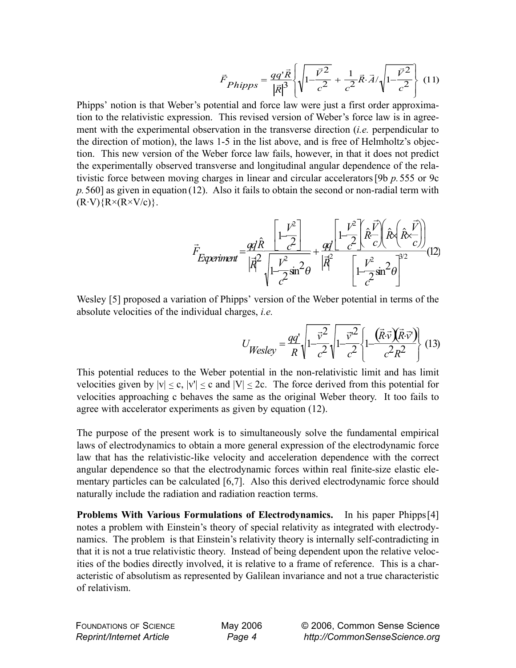$$
\vec{F}_{Phipps} = \frac{qq'\vec{R}}{|\vec{R}|^3} \left\{ \sqrt{1 - \frac{\vec{V}^2}{c^2}} + \frac{1}{c^2} \vec{R} \cdot \vec{A} / \sqrt{1 - \frac{\vec{V}^2}{c^2}} \right\} (11)
$$

Phipps' notion is that Weber's potential and force law were just a first order approximation to the relativistic expression. This revised version of Weber's force law is in agreement with the experimental observation in the transverse direction (*i.e.* perpendicular to the direction of motion), the laws 1-5 in the list above, and is free of Helmholtz's objection. This new version of the Weber force law fails, however, in that it does not predict the experimentally observed transverse and longitudinal angular dependence of the relativistic force between moving charges in linear and circular accelerators [9b *p.*555 or 9c *p.*560] as given in equation (12). Also it fails to obtain the second or non-radial term with  $(R\cdot V)\{R\times(R\times V/c)\}.$ 

$$
\vec{F}_{Experiment} = \frac{qq\hat{R}}{|\vec{R}^2|}\frac{\left[1-\frac{V^2}{c^2}\right]}{\sqrt{1-\frac{V^2}{c^2}\sin^2\theta}} + \frac{qq}{|\vec{R}|} \frac{\left[1-\frac{V^2}{c^2}\right] (\hat{R} \times (\hat{R} \times \vec{C}))}{\left[1-\frac{V^2}{c^2}\sin^2\theta\right]^{3/2}} (12)
$$

Wesley [5] proposed a variation of Phipps' version of the Weber potential in terms of the absolute velocities of the individual charges, *i.e.*

$$
U_{Wesley} = \frac{qq'}{R} \sqrt{1 - \frac{\vec{v}^2}{c^2}} \sqrt{1 - \frac{\vec{v}^2}{c^2}} \left\{ 1 - \frac{(\vec{R} \cdot \vec{v})(\vec{R} \cdot \vec{v})}{c^2 R^2} \right\} (13)
$$

This potential reduces to the Weber potential in the non-relativistic limit and has limit velocities given by  $|v| \le c$ ,  $|v'| \le c$  and  $|V| \le 2c$ . The force derived from this potential for velocities approaching c behaves the same as the original Weber theory. It too fails to agree with accelerator experiments as given by equation (12).

The purpose of the present work is to simultaneously solve the fundamental empirical laws of electrodynamics to obtain a more general expression of the electrodynamic force law that has the relativistic-like velocity and acceleration dependence with the correct angular dependence so that the electrodynamic forces within real finite-size elastic elementary particles can be calculated [6,7]. Also this derived electrodynamic force should naturally include the radiation and radiation reaction terms.

**Problems With Various Formulations of Electrodynamics.** In his paper Phipps[4] notes a problem with Einstein's theory of special relativity as integrated with electrodynamics. The problem is that Einstein's relativity theory is internally self-contradicting in that it is not a true relativistic theory. Instead of being dependent upon the relative velocities of the bodies directly involved, it is relative to a frame of reference. This is a characteristic of absolutism as represented by Galilean invariance and not a true characteristic of relativism.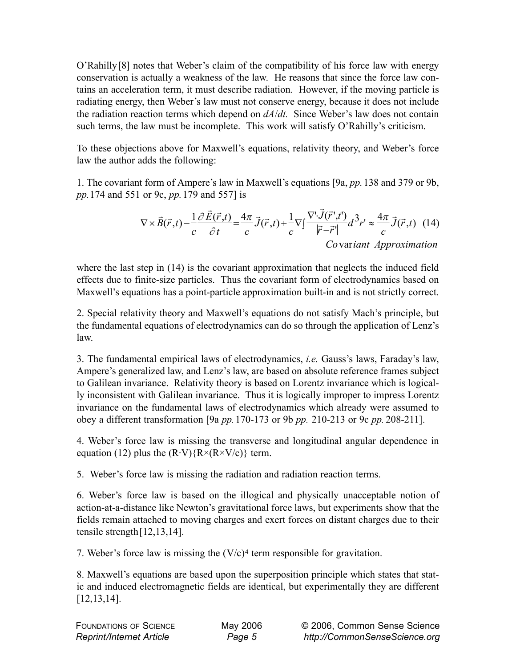O'Rahilly[8] notes that Weber's claim of the compatibility of his force law with energy conservation is actually a weakness of the law. He reasons that since the force law contains an acceleration term, it must describe radiation. However, if the moving particle is radiating energy, then Weber's law must not conserve energy, because it does not include the radiation reaction terms which depend on *dA*/*dt.* Since Weber's law does not contain such terms, the law must be incomplete. This work will satisfy O'Rahilly's criticism.

To these objections above for Maxwell's equations, relativity theory, and Weber's force law the author adds the following:

1. The covariant form of Ampere's law in Maxwell's equations [9a, *pp.*138 and 379 or 9b, *pp.*174 and 551 or 9c, *pp.*179 and 557] is

$$
\nabla \times \vec{B}(\vec{r},t) - \frac{1}{c} \frac{\partial \vec{E}(\vec{r},t)}{\partial t} = \frac{4\pi}{c} \vec{J}(\vec{r},t) + \frac{1}{c} \nabla \int \frac{\nabla \cdot \vec{J}(\vec{r}',t')}{|\vec{r} - \vec{r}'|} d^3 r' \approx \frac{4\pi}{c} \vec{J}(\vec{r},t) \tag{14}
$$
  
Covariant Approximation

where the last step in (14) is the covariant approximation that neglects the induced field effects due to finite-size particles. Thus the covariant form of electrodynamics based on Maxwell's equations has a point-particle approximation built-in and is not strictly correct.

2. Special relativity theory and Maxwell's equations do not satisfy Mach's principle, but the fundamental equations of electrodynamics can do so through the application of Lenz's law.

3. The fundamental empirical laws of electrodynamics, *i.e.* Gauss's laws, Faraday's law, Ampere's generalized law, and Lenz's law, are based on absolute reference frames subject to Galilean invariance. Relativity theory is based on Lorentz invariance which is logically inconsistent with Galilean invariance. Thus it is logically improper to impress Lorentz invariance on the fundamental laws of electrodynamics which already were assumed to obey a different transformation [9a *pp.*170-173 or 9b *pp.* 210-213 or 9c *pp.* 208-211].

4. Weber's force law is missing the transverse and longitudinal angular dependence in equation (12) plus the  $(R\cdot V)$ { $R \times (R \times V/c)$ } term.

5. Weber's force law is missing the radiation and radiation reaction terms.

6. Weber's force law is based on the illogical and physically unacceptable notion of action-at-a-distance like Newton's gravitational force laws, but experiments show that the fields remain attached to moving charges and exert forces on distant charges due to their tensile strength[12,13,14].

7. Weber's force law is missing the  $(V/c)^4$  term responsible for gravitation.

8. Maxwell's equations are based upon the superposition principle which states that static and induced electromagnetic fields are identical, but experimentally they are different [12,13,14].

| <b>FOUNDATIONS OF SCIENCE</b>   |
|---------------------------------|
| <b>Reprint/Internet Article</b> |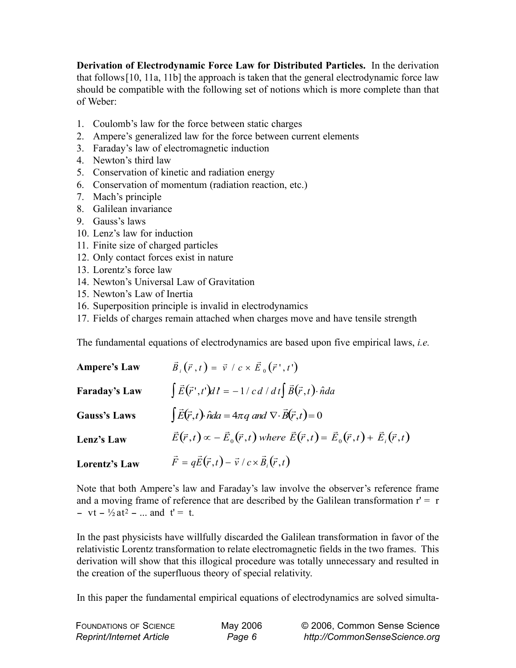**Derivation of Electrodynamic Force Law for Distributed Particles.** In the derivation that follows[10, 11a, 11b] the approach is taken that the general electrodynamic force law should be compatible with the following set of notions which is more complete than that of Weber:

- 1. Coulomb's law for the force between static charges
- 2. Ampere's generalized law for the force between current elements
- 3. Faraday's law of electromagnetic induction
- 4. Newton's third law
- 5. Conservation of kinetic and radiation energy
- 6. Conservation of momentum (radiation reaction, etc.)
- 7. Mach's principle
- 8. Galilean invariance
- 9. Gauss's laws
- 10. Lenz's law for induction
- 11. Finite size of charged particles
- 12. Only contact forces exist in nature
- 13. Lorentz's force law
- 14. Newton's Universal Law of Gravitation
- 15. Newton's Law of Inertia
- 16. Superposition principle is invalid in electrodynamics
- 17. Fields of charges remain attached when charges move and have tensile strength

The fundamental equations of electrodynamics are based upon five empirical laws, *i.e.*

| <b>Ampere's Law</b>  | $\vec{B}_{i}(\vec{r},t) = \vec{v} / c \times \vec{E}_{0}(\vec{r}',t')$                                                      |
|----------------------|-----------------------------------------------------------------------------------------------------------------------------|
| <b>Faraday's Law</b> | $\int \vec{E}(\vec{r}',t')dt = -1/c d/dt \int \vec{B}(\vec{r},t) \cdot \hat{n}da$                                           |
| <b>Gauss's Laws</b>  | $\int \vec{E}(\vec{r},t) \cdot \hat{n} da = 4\pi q$ and $\nabla \cdot \vec{B}(\vec{r},t) = 0$                               |
| Lenz's Law           | $\vec{E}(\vec{r},t) \propto -\vec{E}_0(\vec{r},t)$ where $\vec{E}(\vec{r},t) = \vec{E}_0(\vec{r},t) + \vec{E}_i(\vec{r},t)$ |
| <b>Lorentz's Law</b> | $\vec{F} = q\vec{E}(\vec{r},t) - \vec{v}/c \times \vec{B}_i(\vec{r},t)$                                                     |

Note that both Ampere's law and Faraday's law involve the observer's reference frame and a moving frame of reference that are described by the Galilean transformation  $r = r$ - vt -  $\frac{1}{2}$  at<sup>2</sup> - ... and t' = t.

In the past physicists have willfully discarded the Galilean transformation in favor of the relativistic Lorentz transformation to relate electromagnetic fields in the two frames. This derivation will show that this illogical procedure was totally unnecessary and resulted in the creation of the superfluous theory of special relativity.

In this paper the fundamental empirical equations of electrodynamics are solved simulta-

| <b>FOUNDATIONS OF SCIENCE</b>   | May 2006 | © 2006, Common Sense Science  |
|---------------------------------|----------|-------------------------------|
| <b>Reprint/Internet Article</b> | Page 6   | http://CommonSenseScience.org |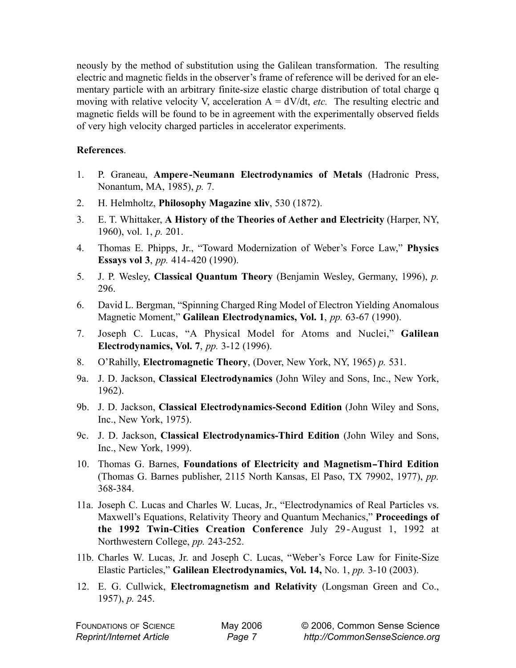neously by the method of substitution using the Galilean transformation. The resulting electric and magnetic fields in the observer's frame of reference will be derived for an elementary particle with an arbitrary finite-size elastic charge distribution of total charge q moving with relative velocity V, acceleration  $A = dV/dt$ , *etc.* The resulting electric and magnetic fields will be found to be in agreement with the experimentally observed fields of very high velocity charged particles in accelerator experiments.

## **References**.

- 1. P. Graneau, **Ampere-Neumann Electrodynamics of Metals** (Hadronic Press, Nonantum, MA, 1985), *p.* 7.
- 2. H. Helmholtz, **Philosophy Magazine xliv**, 530 (1872).
- 3. E. T. Whittaker, **A History of the Theories of Aether and Electricity** (Harper, NY, 1960), vol. 1, *p.* 201.
- 4. Thomas E. Phipps, Jr., "Toward Modernization of Weber's Force Law," **Physics Essays vol 3**, *pp.* 414-420 (1990).
- 5. J. P. Wesley, **Classical Quantum Theory** (Benjamin Wesley, Germany, 1996), *p.* 296.
- 6. David L. Bergman, "Spinning Charged Ring Model of Electron Yielding Anomalous Magnetic Moment," **Galilean Electrodynamics, Vol. 1**, *pp.* 63-67 (1990).
- 7. Joseph C. Lucas, "A Physical Model for Atoms and Nuclei," **Galilean Electrodynamics, Vol. 7**, *pp.* 3-12 (1996).
- 8. O'Rahilly, **Electromagnetic Theory**, (Dover, New York, NY, 1965) *p.* 531.
- 9a. J. D. Jackson, **Classical Electrodynamics** (John Wiley and Sons, Inc., New York, 1962).
- 9b. J. D. Jackson, **Classical Electrodynamics-Second Edition** (John Wiley and Sons, Inc., New York, 1975).
- 9c. J. D. Jackson, **Classical Electrodynamics-Third Edition** (John Wiley and Sons, Inc., New York, 1999).
- 10. Thomas G. Barnes, **Foundations of Electricity and Magnetism-Third Edition** (Thomas G. Barnes publisher, 2115 North Kansas, El Paso, TX 79902, 1977), *pp.* 368-384.
- 11a. Joseph C. Lucas and Charles W. Lucas, Jr., "Electrodynamics of Real Particles vs. Maxwell's Equations, Relativity Theory and Quantum Mechanics," **Proceedings of the 1992 Twin-Cities Creation Conference** July 29-August 1, 1992 at Northwestern College, *pp.* 243-252.
- 11b. Charles W. Lucas, Jr. and Joseph C. Lucas, "Weber's Force Law for Finite-Size Elastic Particles," **Galilean Electrodynamics, Vol. 14,** No. 1, *pp.* 3-10 (2003).
- 12. E. G. Cullwick, **Electromagnetism and Relativity** (Longsman Green and Co., 1957), *p.* 245.

FOUNDATIONS OF SCIENCE *Reprint/Internet Article*